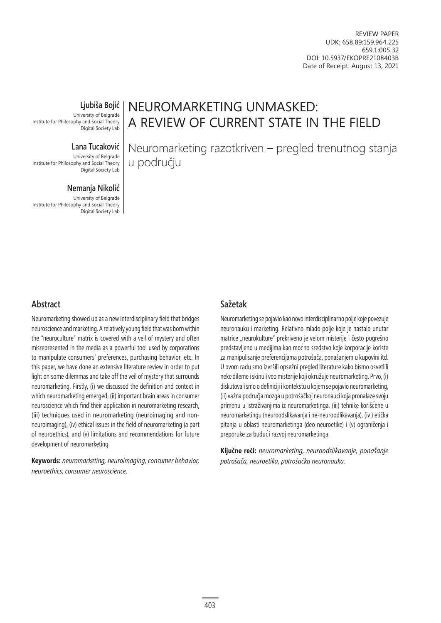REVIEW PAPER UDK: 658.89:159.964.225 659.1:005.32 DOI: 10.5937/EKOPRE2108403B Date of Receipt: August 13, 2021

**Ljubiša Bojić**

University of Belgrade Institute for Philosophy and Social Theory Digital Society Lab

### **Lana Tucaković**

University of Belgrade Institute for Philosophy and Social Theory Digital Society Lab

#### **Nemanja Nikolić**

University of Belgrade Institute for Philosophy and Social Theory Digital Society Lab NEUROMARKETING UNMASKED: A REVIEW OF CURRENT STATE IN THE FIELD

Neuromarketing razotkriven – pregled trenutnog stanja u području

# **Abstract**

Neuromarketing showed up as a new interdisciplinary field that bridges neuroscience and marketing. A relatively young field that was born within the "neuroculture" matrix is covered with a veil of mystery and often misrepresented in the media as a powerful tool used by corporations to manipulate consumers' preferences, purchasing behavior, etc. In this paper, we have done an extensive literature review in order to put light on some dilemmas and take off the veil of mystery that surrounds neuromarketing. Firstly, (i) we discussed the definition and context in which neuromarketing emerged, (ii) important brain areas in consumer neuroscience which find their application in neuromarketing research, (iii) techniques used in neuromarketing (neuroimaging and nonneuroimaging), (iv) ethical issues in the field of neuromarketing (a part of neuroethics), and (v) limitations and recommendations for future development of neuromarketing.

**Keywords:** *neuromarketing, neuroimaging, consumer behavior, neuroethics, consumer neuroscience.*

## **Sažetak**

Neuromarketing se pojavio kao novo interdisciplinarno polje koje povezuje neuronauku i marketing. Relativno mlado polje koje je nastalo unutar matrice "neurokulture" prekriveno je velom misterije i često pogrešno predstavljeno u medijima kao moćno sredstvo koje korporacije koriste za manipulisanje preferencijama potrošača, ponašanjem u kupovini itd. U ovom radu smo izvršili opsežni pregled literature kako bismo osvetlili neke dileme i skinuli veo misterije koji okružuje neuromarketing. Prvo, (i) diskutovali smo o definiciji i kontekstu u kojem se pojavio neuromarketing, (ii) važna područja mozga u potrošačkoj neuronauci koja pronalaze svoju primenu u istraživanjima iz neuromarketinga, (iii) tehnike korišćene u neuromarketingu (neuroodslikavanja i ne-neuroodlikavanja), (iv ) etička pitanja u oblasti neuromarketinga (deo neuroetike) i (v) ograničenja i preporuke za budući razvoj neuromarketinga.

**Ključne reči:** *neuromarketing, neuroodslikavanje, ponašanje potrošača, neuroetika, potrošačka neuronauka.*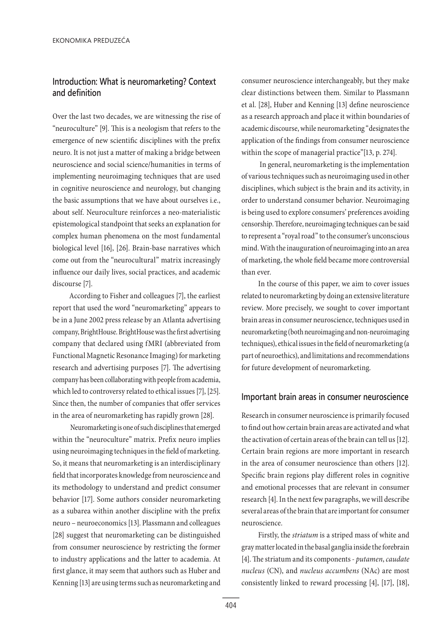# **Introduction: What is neuromarketing? Context and definition**

Over the last two decades, we are witnessing the rise of "neuroculture" [9]. This is a neologism that refers to the emergence of new scientific disciplines with the prefix neuro. It is not just a matter of making a bridge between neuroscience and social science/humanities in terms of implementing neuroimaging techniques that are used in cognitive neuroscience and neurology, but changing the basic assumptions that we have about ourselves i.e., about self. Neuroculture reinforces a neo-materialistic epistemological standpoint that seeks an explanation for complex human phenomena on the most fundamental biological level [16], [26]. Brain-base narratives which come out from the "neurocultural" matrix increasingly influence our daily lives, social practices, and academic discourse [7].

According to Fisher and colleagues [7], the earliest report that used the word "neuromarketing" appears to be in a June 2002 press release by an Atlanta advertising company, BrightHouse. BrightHouse was the first advertising company that declared using fMRI (abbreviated from Functional Magnetic Resonance Imaging) for marketing research and advertising purposes [7]. The advertising company has been collaborating with people from academia, which led to controversy related to ethical issues [7], [25]. Since then, the number of companies that offer services in the area of neuromarketing has rapidly grown [28].

 Neuromarketing is one of such disciplines that emerged within the "neuroculture" matrix. Prefix neuro implies using neuroimaging techniques in the field of marketing. So, it means that neuromarketing is an interdisciplinary field that incorporates knowledge from neuroscience and its methodology to understand and predict consumer behavior [17]. Some authors consider neuromarketing as a subarea within another discipline with the prefix neuro – neuroeconomics [13]. Plassmann and colleagues [28] suggest that neuromarketing can be distinguished from consumer neuroscience by restricting the former to industry applications and the latter to academia. At first glance, it may seem that authors such as Huber and Kenning [13] are using terms such as neuromarketing and

consumer neuroscience interchangeably, but they make clear distinctions between them. Similar to Plassmann et al. [28], Huber and Kenning [13] define neuroscience as a research approach and place it within boundaries of academic discourse, while neuromarketing "designates the application of the findings from consumer neuroscience within the scope of managerial practice"[13, p. 274].

 In general, neuromarketing is the implementation of various techniques such as neuroimaging used in other disciplines, which subject is the brain and its activity, in order to understand consumer behavior. Neuroimaging is being used to explore consumers' preferences avoiding censorship. Therefore, neuroimaging techniques can be said to represent a "royal road" to the consumer's unconscious mind. With the inauguration of neuroimaging into an area of marketing, the whole field became more controversial than ever.

In the course of this paper, we aim to cover issues related to neuromarketing by doing an extensive literature review. More precisely, we sought to cover important brain areas in consumer neuroscience, techniques used in neuromarketing (both neuroimaging and non-neuroimaging techniques), ethical issues in the field of neuromarketing (a part of neuroethics), and limitations and recommendations for future development of neuromarketing.

### **Important brain areas in consumer neuroscience**

Research in consumer neuroscience is primarily focused to find out how certain brain areas are activated and what the activation of certain areas of the brain can tell us [12]. Certain brain regions are more important in research in the area of consumer neuroscience than others [12]. Specific brain regions play different roles in cognitive and emotional processes that are relevant in consumer research [4]. In the next few paragraphs, we will describe several areas of the brain that are important for consumer neuroscience.

Firstly, the *striatum* is a striped mass of white and gray matter located in the basal ganglia inside the forebrain [4]. The striatum and its components - *putamen*, *caudate nucleus* (CN), and *nucleus accumbens* (NAc) are most consistently linked to reward processing [4], [17], [18],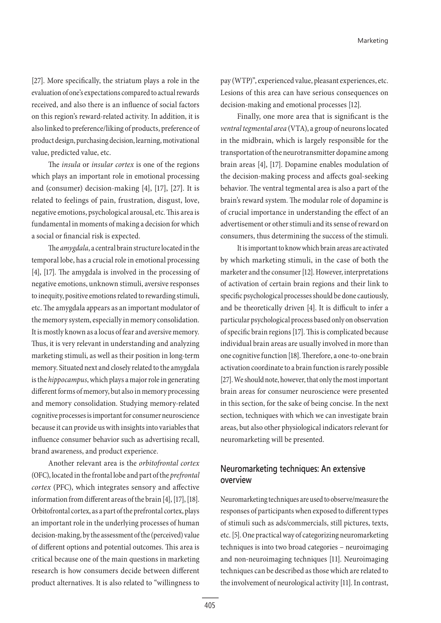[27]. More specifically, the striatum plays a role in the evaluation of one's expectations compared to actual rewards received, and also there is an influence of social factors on this region's reward-related activity. In addition, it is also linked to preference/liking of products, preference of product design, purchasing decision, learning, motivational value, predicted value, etc.

The *insula* or *insular cortex* is one of the regions which plays an important role in emotional processing and (consumer) decision-making [4], [17], [27]. It is related to feelings of pain, frustration, disgust, love, negative emotions, psychological arousal, etc. This area is fundamental in moments of making a decision for which a social or financial risk is expected.

The *amygdala*, a central brain structure located in the temporal lobe, has a crucial role in emotional processing [4], [17]. The amygdala is involved in the processing of negative emotions, unknown stimuli, aversive responses to inequity, positive emotions related to rewarding stimuli, etc. The amygdala appears as an important modulator of the memory system, especially in memory consolidation. It is mostly known as a locus of fear and aversive memory. Thus, it is very relevant in understanding and analyzing marketing stimuli, as well as their position in long-term memory. Situated next and closely related to the amygdala is the *hippocampus*, which plays a major role in generating different forms of memory, but also in memory processing and memory consolidation. Studying memory-related cognitive processes is important for consumer neuroscience because it can provide us with insights into variables that influence consumer behavior such as advertising recall, brand awareness, and product experience.

Another relevant area is the *orbitofrontal cortex* (OFC), located in the frontal lobe and part of the *prefrontal cortex* (PFC), which integrates sensory and affective information from different areas of the brain [4], [17], [18]. Orbitofrontal cortex, as a part of the prefrontal cortex, plays an important role in the underlying processes of human decision-making, by the assessment of the (perceived) value of different options and potential outcomes. This area is critical because one of the main questions in marketing research is how consumers decide between different product alternatives. It is also related to "willingness to pay (WTP)", experienced value, pleasant experiences, etc. Lesions of this area can have serious consequences on decision-making and emotional processes [12].

Finally, one more area that is significant is the *ventral tegmental area* (VTA), a group of neurons located in the midbrain, which is largely responsible for the transportation of the neurotransmitter dopamine among brain areas [4], [17]. Dopamine enables modulation of the decision-making process and affects goal-seeking behavior. The ventral tegmental area is also a part of the brain's reward system. The modular role of dopamine is of crucial importance in understanding the effect of an advertisement or other stimuli and its sense of reward on consumers, thus determining the success of the stimuli.

It is important to know which brain areas are activated by which marketing stimuli, in the case of both the marketer and the consumer [12]. However, interpretations of activation of certain brain regions and their link to specific psychological processes should be done cautiously, and be theoretically driven [4]. It is difficult to infer a particular psychological process based only on observation of specific brain regions [17]. This is complicated because individual brain areas are usually involved in more than one cognitive function [18]. Therefore, a one-to-one brain activation coordinate to a brain function is rarely possible [27]. We should note, however, that only the most important brain areas for consumer neuroscience were presented in this section, for the sake of being concise. In the next section, techniques with which we can investigate brain areas, but also other physiological indicators relevant for neuromarketing will be presented.

# **Neuromarketing techniques: An extensive overview**

Neuromarketing techniques are used to observe/measure the responses of participants when exposed to different types of stimuli such as ads/commercials, still pictures, texts, etc. [5]. One practical way of categorizing neuromarketing techniques is into two broad categories – neuroimaging and non-neuroimaging techniques [11]. Neuroimaging techniques can be described as those which are related to the involvement of neurological activity [11]. In contrast,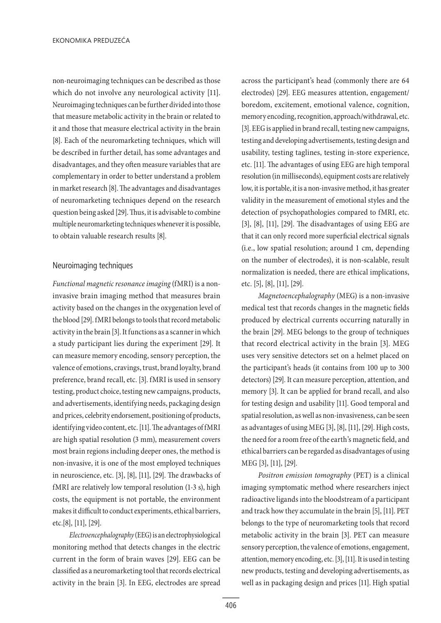non-neuroimaging techniques can be described as those which do not involve any neurological activity [11]. Neuroimaging techniques can be further divided into those that measure metabolic activity in the brain or related to it and those that measure electrical activity in the brain [8]. Each of the neuromarketing techniques, which will be described in further detail, has some advantages and disadvantages, and they often measure variables that are complementary in order to better understand a problem in market research [8]. The advantages and disadvantages of neuromarketing techniques depend on the research question being asked [29]. Thus, it is advisable to combine multiple neuromarketing techniques whenever it is possible, to obtain valuable research results [8].

#### Neuroimaging techniques

*Functional magnetic resonance imaging* (fMRI) is a noninvasive brain imaging method that measures brain activity based on the changes in the oxygenation level of the blood [29]. fMRI belongs to tools that record metabolic activity in the brain [3]. It functions as a scanner in which a study participant lies during the experiment [29]. It can measure memory encoding, sensory perception, the valence of emotions, cravings, trust, brand loyalty, brand preference, brand recall, etc. [3]. fMRI is used in sensory testing, product choice, testing new campaigns, products, and advertisements, identifying needs, packaging design and prices, celebrity endorsement, positioning of products, identifying video content, etc. [11]. The advantages of fMRI are high spatial resolution (3 mm), measurement covers most brain regions including deeper ones, the method is non-invasive, it is one of the most employed techniques in neuroscience, etc. [3], [8], [11], [29]. The drawbacks of fMRI are relatively low temporal resolution (1-3 s), high costs, the equipment is not portable, the environment makes it difficult to conduct experiments, ethical barriers, etc.[8], [11], [29].

*Electroencephalography* (EEG) is an electrophysiological monitoring method that detects changes in the electric current in the form of brain waves [29]. EEG can be classified as a neuromarketing tool that records electrical activity in the brain [3]. In EEG, electrodes are spread across the participant's head (commonly there are 64 electrodes) [29]. EEG measures attention, engagement/ boredom, excitement, emotional valence, cognition, memory encoding, recognition, approach/withdrawal, etc. [3]. EEG is applied in brand recall, testing new campaigns, testing and developing advertisements, testing design and usability, testing taglines, testing in-store experience, etc. [11]. The advantages of using EEG are high temporal resolution (in milliseconds), equipment costs are relatively low, it is portable, it is a non-invasive method, it has greater validity in the measurement of emotional styles and the detection of psychopathologies compared to fMRI, etc. [3], [8], [11], [29]. The disadvantages of using EEG are that it can only record more superficial electrical signals (i.e., low spatial resolution; around 1 cm, depending on the number of electrodes), it is non-scalable, result normalization is needed, there are ethical implications, etc. [5], [8], [11], [29].

*Magnetoencephalography* (MEG) is a non-invasive medical test that records changes in the magnetic fields produced by electrical currents occurring naturally in the brain [29]. MEG belongs to the group of techniques that record electrical activity in the brain [3]. MEG uses very sensitive detectors set on a helmet placed on the participant's heads (it contains from 100 up to 300 detectors) [29]. It can measure perception, attention, and memory [3]. It can be applied for brand recall, and also for testing design and usability [11]. Good temporal and spatial resolution, as well as non-invasiveness, can be seen as advantages of using MEG [3], [8], [11], [29]. High costs, the need for a room free of the earth's magnetic field, and ethical barriers can be regarded as disadvantages of using MEG [3], [11], [29].

*Positron emission tomography* (PET) is a clinical imaging symptomatic method where researchers inject radioactive ligands into the bloodstream of a participant and track how they accumulate in the brain [5], [11]. PET belongs to the type of neuromarketing tools that record metabolic activity in the brain [3]. PET can measure sensory perception, the valence of emotions, engagement, attention, memory encoding, etc. [3], [11]. It is used in testing new products, testing and developing advertisements, as well as in packaging design and prices [11]. High spatial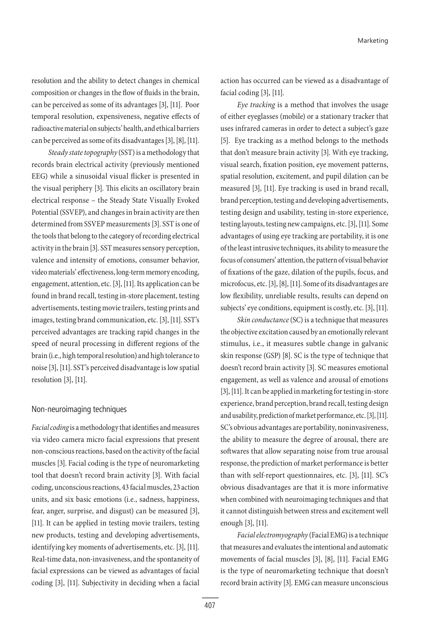resolution and the ability to detect changes in chemical composition or changes in the flow of fluids in the brain, can be perceived as some of its advantages [3], [11]. Poor temporal resolution, expensiveness, negative effects of radioactive material on subjects' health, and ethical barriers can be perceived as some of its disadvantages [3], [8], [11].

*Steady state topography* (SST) is a methodology that records brain electrical activity (previously mentioned EEG) while a sinusoidal visual flicker is presented in the visual periphery [3]. This elicits an oscillatory brain electrical response – the Steady State Visually Evoked Potential (SSVEP), and changes in brain activity are then determined from SSVEP measurements [3]. SST is one of the tools that belong to the category of recording electrical activity in the brain [3]. SST measures sensory perception, valence and intensity of emotions, consumer behavior, video materials' effectiveness, long-term memory encoding, engagement, attention, etc. [3], [11]. Its application can be found in brand recall, testing in-store placement, testing advertisements, testing movie trailers, testing prints and images, testing brand communication, etc. [3], [11]. SST's perceived advantages are tracking rapid changes in the speed of neural processing in different regions of the brain (i.e., high temporal resolution) and high tolerance to noise [3], [11]. SST's perceived disadvantage is low spatial resolution [3], [11].

### Non-neuroimaging techniques

Facial coding is a methodology that identifies and measures via video camera micro facial expressions that present non-conscious reactions, based on the activity of the facial muscles [3]. Facial coding is the type of neuromarketing tool that doesn't record brain activity [3]. With facial coding, unconscious reactions, 43 facial muscles, 23 action units, and six basic emotions (i.e., sadness, happiness, fear, anger, surprise, and disgust) can be measured [3], [11]. It can be applied in testing movie trailers, testing new products, testing and developing advertisements, identifying key moments of advertisements, etc. [3], [11]. Real-time data, non-invasiveness, and the spontaneity of facial expressions can be viewed as advantages of facial coding [3], [11]. Subjectivity in deciding when a facial

action has occurred can be viewed as a disadvantage of facial coding [3], [11].

*Eye tracking* is a method that involves the usage of either eyeglasses (mobile) or a stationary tracker that uses infrared cameras in order to detect a subject's gaze [5]. Eye tracking as a method belongs to the methods that don't measure brain activity [3]. With eye tracking, visual search, fixation position, eye movement patterns, spatial resolution, excitement, and pupil dilation can be measured [3], [11]. Eye tracking is used in brand recall, brand perception, testing and developing advertisements, testing design and usability, testing in-store experience, testing layouts, testing new campaigns, etc. [3], [11]. Some advantages of using eye tracking are portability, it is one of the least intrusive techniques, its ability to measure the focus of consumers' attention, the pattern of visual behavior of fixations of the gaze, dilation of the pupils, focus, and microfocus, etc. [3], [8], [11]. Some of its disadvantages are low flexibility, unreliable results, results can depend on subjects' eye conditions, equipment is costly, etc. [3], [11].

*Skin conductance* (SC) is a technique that measures the objective excitation caused by an emotionally relevant stimulus, i.e., it measures subtle change in galvanic skin response (GSP) [8]. SC is the type of technique that doesn't record brain activity [3]. SC measures emotional engagement, as well as valence and arousal of emotions [3], [11]. It can be applied in marketing for testing in-store experience, brand perception, brand recall, testing design and usability, prediction of market performance, etc. [3], [11]. SC's obvious advantages are portability, noninvasiveness, the ability to measure the degree of arousal, there are softwares that allow separating noise from true arousal response, the prediction of market performance is better than with self-report questionnaires, etc. [3], [11]. SC's obvious disadvantages are that it is more informative when combined with neuroimaging techniques and that it cannot distinguish between stress and excitement well enough [3], [11].

*Facial electromyography* (Facial EMG) is a technique that measures and evaluates the intentional and automatic movements of facial muscles [3], [8], [11]. Facial EMG is the type of neuromarketing technique that doesn't record brain activity [3]. EMG can measure unconscious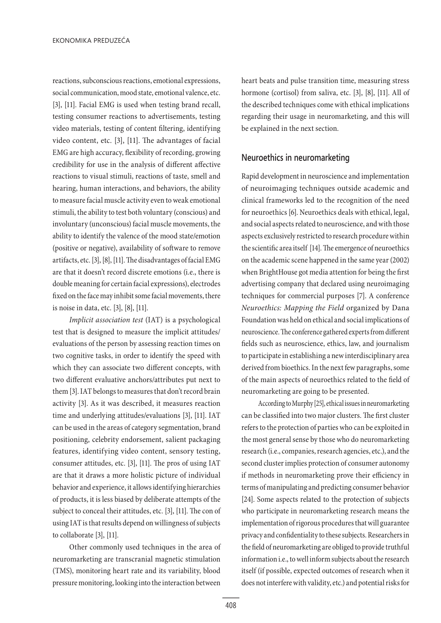reactions, subconscious reactions, emotional expressions, social communication, mood state, emotional valence, etc. [3], [11]. Facial EMG is used when testing brand recall, testing consumer reactions to advertisements, testing video materials, testing of content filtering, identifying video content, etc. [3], [11]. The advantages of facial EMG are high accuracy, flexibility of recording, growing credibility for use in the analysis of different affective reactions to visual stimuli, reactions of taste, smell and hearing, human interactions, and behaviors, the ability to measure facial muscle activity even to weak emotional stimuli, the ability to test both voluntary (conscious) and involuntary (unconscious) facial muscle movements, the ability to identify the valence of the mood state/emotion (positive or negative), availability of software to remove artifacts, etc. [3], [8], [11]. The disadvantages of facial EMG are that it doesn't record discrete emotions (i.e., there is double meaning for certain facial expressions), electrodes fixed on the face may inhibit some facial movements, there is noise in data, etc. [3], [8], [11].

*Implicit association test* (IAT) is a psychological test that is designed to measure the implicit attitudes/ evaluations of the person by assessing reaction times on two cognitive tasks, in order to identify the speed with which they can associate two different concepts, with two different evaluative anchors/attributes put next to them [3]. IAT belongs to measures that don't record brain activity [3]. As it was described, it measures reaction time and underlying attitudes/evaluations [3], [11]. IAT can be used in the areas of category segmentation, brand positioning, celebrity endorsement, salient packaging features, identifying video content, sensory testing, consumer attitudes, etc. [3], [11]. The pros of using IAT are that it draws a more holistic picture of individual behavior and experience, it allows identifying hierarchies of products, it is less biased by deliberate attempts of the subject to conceal their attitudes, etc. [3], [11]. The con of using IAT is that results depend on willingness of subjects to collaborate [3], [11].

Other commonly used techniques in the area of neuromarketing are transcranial magnetic stimulation (TMS), monitoring heart rate and its variability, blood pressure monitoring, looking into the interaction between

heart beats and pulse transition time, measuring stress hormone (cortisol) from saliva, etc. [3], [8], [11]. All of the described techniques come with ethical implications regarding their usage in neuromarketing, and this will be explained in the next section.

## **Neuroethics in neuromarketing**

Rapid development in neuroscience and implementation of neuroimaging techniques outside academic and clinical frameworks led to the recognition of the need for neuroethics [6]. Neuroethics deals with ethical, legal, and social aspects related to neuroscience, and with those aspects exclusively restricted to research procedure within the scientific area itself [14]. The emergence of neuroethics on the academic scene happened in the same year (2002) when BrightHouse got media attention for being the first advertising company that declared using neuroimaging techniques for commercial purposes [7]. A conference *Neuroethics: Mapping the Field* organized by Dana Foundation was held on ethical and social implications of neuroscience. The conference gathered experts from different fields such as neuroscience, ethics, law, and journalism to participate in establishing a new interdisciplinary area derived from bioethics. In the next few paragraphs, some of the main aspects of neuroethics related to the field of neuromarketing are going to be presented.

According to Murphy [25], ethical issues in neuromarketing can be classified into two major clusters. The first cluster refers to the protection of parties who can be exploited in the most general sense by those who do neuromarketing research (i.e., companies, research agencies, etc.), and the second cluster implies protection of consumer autonomy if methods in neuromarketing prove their efficiency in terms of manipulating and predicting consumer behavior [24]. Some aspects related to the protection of subjects who participate in neuromarketing research means the implementation of rigorous procedures that will guarantee privacy and confidentiality to these subjects. Researchers in the field of neuromarketing are obliged to provide truthful information i.e., to well inform subjects about the research itself (if possible, expected outcomes of research when it does not interfere with validity, etc.) and potential risks for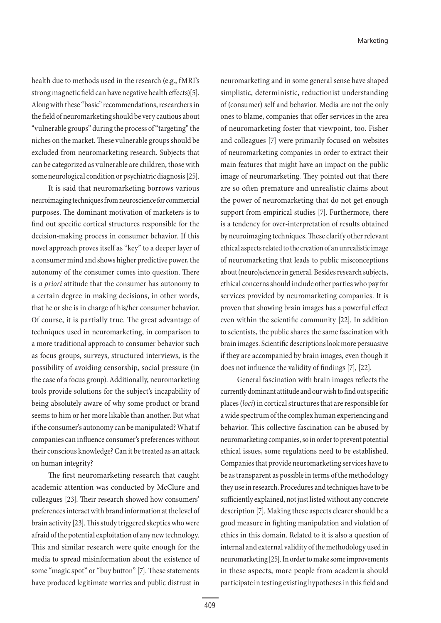health due to methods used in the research (e.g., fMRI's strong magnetic field can have negative health effects)[5]. Along with these "basic" recommendations, researchers in the field of neuromarketing should be very cautious about "vulnerable groups" during the process of "targeting" the niches on the market. These vulnerable groups should be excluded from neuromarketing research. Subjects that can be categorized as vulnerable are children, those with some neurological condition or psychiatric diagnosis [25].

It is said that neuromarketing borrows various neuroimaging techniques from neuroscience for commercial purposes. The dominant motivation of marketers is to find out specific cortical structures responsible for the decision-making process in consumer behavior. If this novel approach proves itself as "key" to a deeper layer of a consumer mind and shows higher predictive power, the autonomy of the consumer comes into question. There is *a priori* attitude that the consumer has autonomy to a certain degree in making decisions, in other words, that he or she is in charge of his/her consumer behavior. Of course, it is partially true. The great advantage of techniques used in neuromarketing, in comparison to a more traditional approach to consumer behavior such as focus groups, surveys, structured interviews, is the possibility of avoiding censorship, social pressure (in the case of a focus group). Additionally, neuromarketing tools provide solutions for the subject's incapability of being absolutely aware of why some product or brand seems to him or her more likable than another. But what if the consumer's autonomy can be manipulated? What if companies can influence consumer's preferences without their conscious knowledge? Can it be treated as an attack on human integrity?

The first neuromarketing research that caught academic attention was conducted by McClure and colleagues [23]. Their research showed how consumers' preferences interact with brand information at the level of brain activity [23]. This study triggered skeptics who were afraid of the potential exploitation of any new technology. This and similar research were quite enough for the media to spread misinformation about the existence of some "magic spot" or "buy button" [7]. These statements have produced legitimate worries and public distrust in

neuromarketing and in some general sense have shaped simplistic, deterministic, reductionist understanding of (consumer) self and behavior. Media are not the only ones to blame, companies that offer services in the area of neuromarketing foster that viewpoint, too. Fisher and colleagues [7] were primarily focused on websites of neuromarketing companies in order to extract their main features that might have an impact on the public image of neuromarketing. They pointed out that there are so often premature and unrealistic claims about the power of neuromarketing that do not get enough support from empirical studies [7]. Furthermore, there is a tendency for over-interpretation of results obtained by neuroimaging techniques. These clarify other relevant ethical aspects related to the creation of an unrealistic image of neuromarketing that leads to public misconceptions about (neuro)science in general. Besides research subjects, ethical concerns should include other parties who pay for services provided by neuromarketing companies. It is proven that showing brain images has a powerful effect even within the scientific community [22]. In addition to scientists, the public shares the same fascination with brain images. Scientific descriptions look more persuasive if they are accompanied by brain images, even though it does not influence the validity of findings [7], [22].

General fascination with brain images reflects the currently dominant attitude and our wish to find out specific places (*loci*) in cortical structures that are responsible for a wide spectrum of the complex human experiencing and behavior. This collective fascination can be abused by neuromarketing companies, so in order to prevent potential ethical issues, some regulations need to be established. Companies that provide neuromarketing services have to be as transparent as possible in terms of the methodology they use in research. Procedures and techniques have to be sufficiently explained, not just listed without any concrete description [7]. Making these aspects clearer should be a good measure in fighting manipulation and violation of ethics in this domain. Related to it is also a question of internal and external validity of the methodology used in neuromarketing [25]. In order to make some improvements in these aspects, more people from academia should participate in testing existing hypotheses in this field and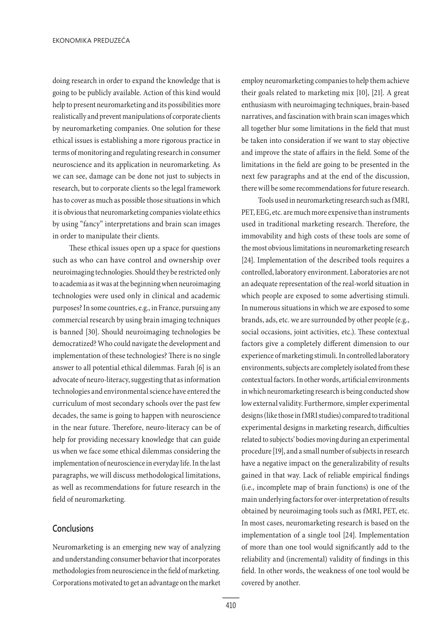doing research in order to expand the knowledge that is going to be publicly available. Action of this kind would help to present neuromarketing and its possibilities more realistically and prevent manipulations of corporate clients by neuromarketing companies. One solution for these ethical issues is establishing a more rigorous practice in terms of monitoring and regulating research in consumer neuroscience and its application in neuromarketing. As we can see, damage can be done not just to subjects in research, but to corporate clients so the legal framework has to cover as much as possible those situations in which it is obvious that neuromarketing companies violate ethics by using "fancy" interpretations and brain scan images in order to manipulate their clients.

These ethical issues open up a space for questions such as who can have control and ownership over neuroimaging technologies. Should they be restricted only to academia as it was at the beginning when neuroimaging technologies were used only in clinical and academic purposes? In some countries, e.g., in France, pursuing any commercial research by using brain imaging techniques is banned [30]. Should neuroimaging technologies be democratized? Who could navigate the development and implementation of these technologies? There is no single answer to all potential ethical dilemmas. Farah [6] is an advocate of neuro-literacy, suggesting that as information technologies and environmental science have entered the curriculum of most secondary schools over the past few decades, the same is going to happen with neuroscience in the near future. Therefore, neuro-literacy can be of help for providing necessary knowledge that can guide us when we face some ethical dilemmas considering the implementation of neuroscience in everyday life. In the last paragraphs, we will discuss methodological limitations, as well as recommendations for future research in the field of neuromarketing.

## **Conclusions**

Neuromarketing is an emerging new way of analyzing and understanding consumer behavior that incorporates methodologies from neuroscience in the field of marketing. Corporations motivated to get an advantage on the market employ neuromarketing companies to help them achieve their goals related to marketing mix [10], [21]. A great enthusiasm with neuroimaging techniques, brain-based narratives, and fascination with brain scan images which all together blur some limitations in the field that must be taken into consideration if we want to stay objective and improve the state of affairs in the field. Some of the limitations in the field are going to be presented in the next few paragraphs and at the end of the discussion, there will be some recommendations for future research.

Tools used in neuromarketing research such as fMRI, PET, EEG, etc. are much more expensive than instruments used in traditional marketing research. Therefore, the immovability and high costs of these tools are some of the most obvious limitations in neuromarketing research [24]. Implementation of the described tools requires a controlled, laboratory environment. Laboratories are not an adequate representation of the real-world situation in which people are exposed to some advertising stimuli. In numerous situations in which we are exposed to some brands, ads, etc. we are surrounded by other people (e.g., social occasions, joint activities, etc.). These contextual factors give a completely different dimension to our experience of marketing stimuli. In controlled laboratory environments, subjects are completely isolated from these contextual factors. In other words, artificial environments in which neuromarketing research is being conducted show low external validity. Furthermore, simpler experimental designs (like those in fMRI studies) compared to traditional experimental designs in marketing research, difficulties related to subjects' bodies moving during an experimental procedure [19], and a small number of subjects in research have a negative impact on the generalizability of results gained in that way. Lack of reliable empirical findings (i.e., incomplete map of brain functions) is one of the main underlying factors for over-interpretation of results obtained by neuroimaging tools such as fMRI, PET, etc. In most cases, neuromarketing research is based on the implementation of a single tool [24]. Implementation of more than one tool would significantly add to the reliability and (incremental) validity of findings in this field. In other words, the weakness of one tool would be covered by another.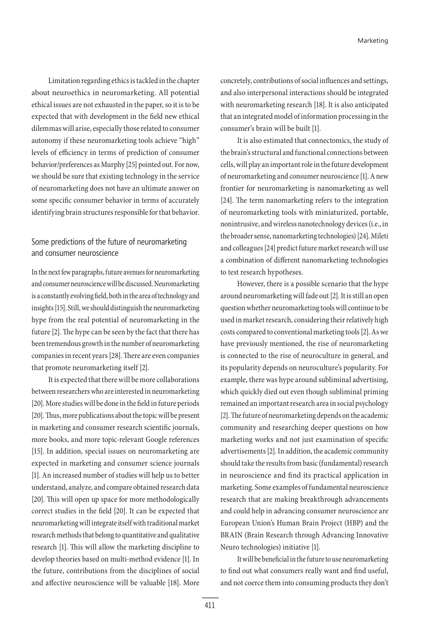Limitation regarding ethics is tackled in the chapter about neuroethics in neuromarketing. All potential ethical issues are not exhausted in the paper, so it is to be expected that with development in the field new ethical dilemmas will arise, especially those related to consumer autonomy if these neuromarketing tools achieve "high" levels of efficiency in terms of prediction of consumer behavior/preferences as Murphy [25] pointed out. For now, we should be sure that existing technology in the service of neuromarketing does not have an ultimate answer on some specific consumer behavior in terms of accurately identifying brain structures responsible for that behavior.

# Some predictions of the future of neuromarketing and consumer neuroscience

In the next few paragraphs, future avenues for neuromarketing and consumer neuroscience will be discussed. Neuromarketing is a constantly evolving field, both in the area of technology and insights [15]. Still, we should distinguish the neuromarketing hype from the real potential of neuromarketing in the future [2]. The hype can be seen by the fact that there has been tremendous growth in the number of neuromarketing companies in recent years [28]. There are even companies that promote neuromarketing itself [2].

It is expected that there will be more collaborations between researchers who are interested in neuromarketing [20]. More studies will be done in the field in future periods [20]. Thus, more publications about the topic will be present in marketing and consumer research scientific journals, more books, and more topic-relevant Google references [15]. In addition, special issues on neuromarketing are expected in marketing and consumer science journals [1]. An increased number of studies will help us to better understand, analyze, and compare obtained research data [20]. This will open up space for more methodologically correct studies in the field [20]. It can be expected that neuromarketing will integrate itself with traditional market research methods that belong to quantitative and qualitative research [1]. This will allow the marketing discipline to develop theories based on multi-method evidence [1]. In the future, contributions from the disciplines of social and affective neuroscience will be valuable [18]. More concretely, contributions of social influences and settings, and also interpersonal interactions should be integrated with neuromarketing research [18]. It is also anticipated that an integrated model of information processing in the consumer's brain will be built [1].

It is also estimated that connectomics, the study of the brain's structural and functional connections between cells, will play an important role in the future development of neuromarketing and consumer neuroscience [1]. A new frontier for neuromarketing is nanomarketing as well [24]. The term nanomarketing refers to the integration of neuromarketing tools with miniaturized, portable, nonintrusive, and wireless nanotechnology devices (i.e., in the broader sense, nanomarketing technologies) [24]. Mileti and colleagues [24] predict future market research will use a combination of different nanomarketing technologies to test research hypotheses.

However, there is a possible scenario that the hype around neuromarketing will fade out [2]. It is still an open question whether neuromarketing tools will continue to be used in market research, considering their relatively high costs compared to conventional marketing tools [2]. As we have previously mentioned, the rise of neuromarketing is connected to the rise of neuroculture in general, and its popularity depends on neuroculture's popularity. For example, there was hype around subliminal advertising, which quickly died out even though subliminal priming remained an important research area in social psychology [2]. The future of neuromarketing depends on the academic community and researching deeper questions on how marketing works and not just examination of specific advertisements [2]. In addition, the academic community should take the results from basic (fundamental) research in neuroscience and find its practical application in marketing. Some examples of fundamental neuroscience research that are making breakthrough advancements and could help in advancing consumer neuroscience are European Union's Human Brain Project (HBP) and the BRAIN (Brain Research through Advancing Innovative Neuro technologies) initiative [1].

It will be beneficial in the future to use neuromarketing to find out what consumers really want and find useful, and not coerce them into consuming products they don't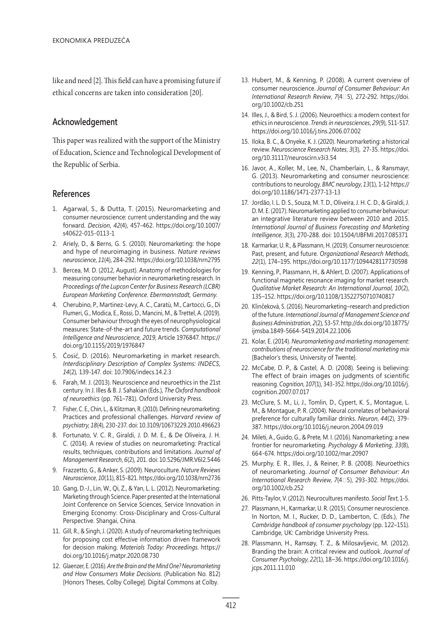like and need [2]. This field can have a promising future if ethical concerns are taken into consideration [20].

## **Acknowledgement**

This paper was realized with the support of the Ministry of Education, Science and Technological Development of the Republic of Serbia.

## **References**

- 1. Agarwal, S., & Dutta, T. (2015). Neuromarketing and consumer neuroscience: current understanding and the way forward. *Decision*, *42*(4), 457-462. https://doi.org/10.1007/ s40622-015-0113-1
- 2. Ariely, D., & Berns, G. S. (2010). Neuromarketing: the hope and hype of neuroimaging in business. *Nature reviews neuroscience*, *11*(4), 284-292. https://doi.org/10.1038/nrn2795
- 3. Bercea, M. D. (2012, August). Anatomy of methodologies for measuring consumer behavior in neuromarketing research. In *Proceedings of the Lupcon Center for Business Research (LCBR) European Marketing Conference. Ebermannstadt, Germany*.
- 4. Cherubino, P., Martinez-Levy, A. C., Caratù, M., Cartocci, G., Di Flumeri, G., Modica, E., Rossi, D., Mancini, M., & Trettel, A. (2019). Consumer behaviour through the eyes of neurophysiological measures: State-of-the-art and future trends. *Computational Intelligence and Neuroscience, 2019,* Article 1976847. https:// doi.org/10.1155/2019/1976847
- 5. Ćosić, D. (2016). Neuromarketing in market research. *Interdisciplinary Description of Complex Systems: INDECS*, *14*(2), 139-147. doi: 10.7906/indecs.14.2.3
- 6. Farah, M. J. (2013). Neuroscience and neuroethics in the 21st century. In J. Illes & B. J. Sahakian (Eds.), *The Oxford handbook of neuroethics* (pp. 761–781). Oxford University Press.
- 7. Fisher, C. E., Chin, L., & Klitzman, R. (2010). Defining neuromarketing: Practices and professional challenges. *Harvard review of psychiatry*, *18*(4), 230-237. doi: 10.3109/10673229.2010.496623
- 8. Fortunato, V. C. R., Giraldi, J. D. M. E., & De Oliveira, J. H. C. (2014). A review of studies on neuromarketing: Practical results, techniques, contributions and limitations. *Journal of Management Research*, *6*(2), 201. doi: 10.5296/JMR.V6I2.5446
- 9. Frazzetto, G., & Anker, S. (2009). Neuroculture. *Nature Reviews Neuroscience*, *10*(11), 815-821. https://doi.org/10.1038/nrn2736
- 10. Gang, D.-J., Lin, W., Qi, Z., & Yan, L. L. (2012). Neuromarketing: Marketing through Science. Paper presented at the International Joint Conference on Service Sciences, Service Innovation in Emerging Economy: Cross-Disciplinary and Cross-Cultural Perspective. Shangai, China.
- 11. Gill, R., & Singh, J. (2020). A study of neuromarketing techniques for proposing cost effective information driven framework for decision making. *Materials Today: Proceedings*. https:// doi.org/10.1016/j.matpr.2020.08.730
- 12. Glaenzer, E. (2016). *Are the Brain and the Mind One? Neuromarketing and How Consumers Make Decisions*. (Publication No. 812) [Honors Theses, Colby College]. Digital Commons at Colby.
- 13. Hubert, M., & Kenning, P. (2008). A current overview of consumer neuroscience. *Journal of Consumer Behaviour: An International Research Review*, *7*(4‐5), 272-292. https://doi. org/10.1002/cb.251
- 14. Illes, J., & Bird, S. J. (2006). Neuroethics: a modern context for ethics in neuroscience. *Trends in neurosciences*, *29*(9), 511-517. https://doi.org/10.1016/j.tins.2006.07.002
- 15. Iloka, B. C., & Onyeke, K. J. (2020). Neuromarketing: a historical review. *Neuroscience Research Notes*, *3*(3), 27-35. https://doi. org/10.31117/neuroscirn.v3i3.54
- 16. Javor, A., Koller, M., Lee, N., Chamberlain, L., & Ransmayr, G. (2013). Neuromarketing and consumer neuroscience: contributions to neurology. *BMC neurology*, *13*(1), 1-12 https:// doi.org/10.1186/1471-2377-13-13
- 17. Jordão, I. L. D. S., Souza, M. T. D., Oliveira, J. H. C. D., & Giraldi, J. D. M. E. (2017). Neuromarketing applied to consumer behaviour: an integrative literature review between 2010 and 2015. *International Journal of Business Forecasting and Marketing Intelligence*, *3*(3), 270-288. doi: 10.1504/IJBFMI.2017.085371
- 18. Karmarkar, U. R., & Plassmann, H. (2019). Consumer neuroscience: Past, present, and future. *Organizational Research Methods, 22*(1), 174–195. https://doi.org/10.1177/1094428117730598
- 19. Kenning, P., Plassmann, H., & Ahlert, D. (2007). Applications of functional magnetic resonance imaging for market research. *Qualitative Market Research: An International Journal, 10*(2), 135–152. https://doi.org/10.1108/13522750710740817
- 20. Klinčeková, S. (2016). Neuromarketing–research and prediction of the future. *International Journal of Management Science and Business Administration*, *2*(2), 53-57. http://dx.doi.org/10.18775/ ijmsba.1849-5664-5419.2014.22.1006
- 21. Kolar, E. (2014). *Neuromarketing and marketing management: contributions of neuroscience for the traditional marketing mix* [Bachelor's thesis, University of Twente].
- 22. McCabe, D. P., & Castel, A. D. (2008). Seeing is believing: The effect of brain images on judgments of scientific reasoning. *Cognition*, *107*(1), 343-352. https://doi.org/10.1016/j. cognition.2007.07.017
- 23. McClure, S. M., Li, J., Tomlin, D., Cypert, K. S., Montague, L. M., & Montague, P. R. (2004). Neural correlates of behavioral preference for culturally familiar drinks. *Neuron*, *44*(2), 379- 387. https://doi.org/10.1016/j.neuron.2004.09.019
- 24. Mileti, A., Guido, G., & Prete, M. I. (2016). Nanomarketing: a new frontier for neuromarketing. *Psychology & Marketing*, *33*(8), 664-674. https://doi.org/10.1002/mar.20907
- 25. Murphy, E. R., Illes, J., & Reiner, P. B. (2008). Neuroethics of neuromarketing. *Journal of Consumer Behaviour: An International Research Review*, *7*(4‐5), 293-302. https://doi. org/10.1002/cb.252
- 26. Pitts-Taylor, V. (2012). Neurocultures manifesto. *Social Text*, 1-5.
- 27. Plassmann, H., Karmarkar, U. R. (2015). Consumer neuroscience. In Norton, M. I., Rucker, D. D., Lamberton, C. (Eds.), *The Cambridge handbook of consumer psychology* (pp. 122–151). Cambridge, UK: Cambridge University Press.
- 28. Plassmann, H., Ramsøy, T. Z., & Milosavljevic, M. (2012). Branding the brain: A critical review and outlook. *Journal of Consumer Psychology*, *22*(1), 18–36. https://doi.org/10.1016/j. jcps.2011.11.010